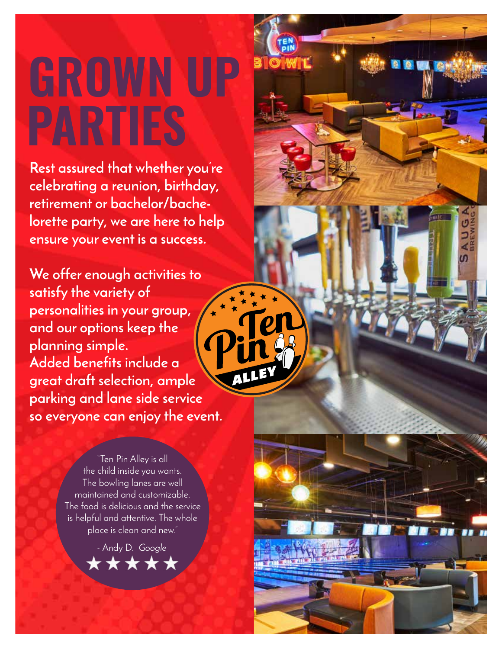# **GROWN UP PARTIES**

**Rest assured that whether you're celebrating a reunion, birthday, retirement or bachelor/bachelorette party, we are here to help ensure your event is a success.** 

Đ

n

**We offer enough activities to satisfy the variety of personalities in your group, and our options keep the planning simple. Added benefits include a great draft selection, ample parking and lane side service so everyone can enjoy the event.**

> "Ten Pin Alley is all the child inside you wants. The bowling lanes are well maintained and customizable. The food is delicious and the service is helpful and attentive. The whole place is clean and new."

> > - Andy D. *Google*